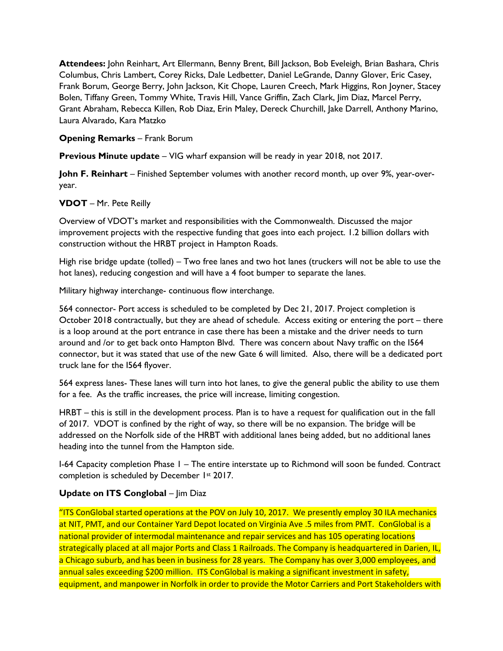**Attendees:** John Reinhart, Art Ellermann, Benny Brent, Bill Jackson, Bob Eveleigh, Brian Bashara, Chris Columbus, Chris Lambert, Corey Ricks, Dale Ledbetter, Daniel LeGrande, Danny Glover, Eric Casey, Frank Borum, George Berry, John Jackson, Kit Chope, Lauren Creech, Mark Higgins, Ron Joyner, Stacey Bolen, Tiffany Green, Tommy White, Travis Hill, Vance Griffin, Zach Clark, Jim Diaz, Marcel Perry, Grant Abraham, Rebecca Killen, Rob Diaz, Erin Maley, Dereck Churchill, Jake Darrell, Anthony Marino, Laura Alvarado, Kara Matzko

#### **Opening Remarks** – Frank Borum

**Previous Minute update** – VIG wharf expansion will be ready in year 2018, not 2017.

**John F. Reinhart** – Finished September volumes with another record month, up over 9%, year-overyear.

#### **VDOT** – Mr. Pete Reilly

Overview of VDOT's market and responsibilities with the Commonwealth. Discussed the major improvement projects with the respective funding that goes into each project. 1.2 billion dollars with construction without the HRBT project in Hampton Roads.

High rise bridge update (tolled) – Two free lanes and two hot lanes (truckers will not be able to use the hot lanes), reducing congestion and will have a 4 foot bumper to separate the lanes.

Military highway interchange- continuous flow interchange.

564 connector- Port access is scheduled to be completed by Dec 21, 2017. Project completion is October 2018 contractually, but they are ahead of schedule. Access exiting or entering the port – there is a loop around at the port entrance in case there has been a mistake and the driver needs to turn around and /or to get back onto Hampton Blvd. There was concern about Navy traffic on the I564 connector, but it was stated that use of the new Gate 6 will limited. Also, there will be a dedicated port truck lane for the I564 flyover.

564 express lanes- These lanes will turn into hot lanes, to give the general public the ability to use them for a fee. As the traffic increases, the price will increase, limiting congestion.

HRBT – this is still in the development process. Plan is to have a request for qualification out in the fall of 2017. VDOT is confined by the right of way, so there will be no expansion. The bridge will be addressed on the Norfolk side of the HRBT with additional lanes being added, but no additional lanes heading into the tunnel from the Hampton side.

I-64 Capacity completion Phase 1 – The entire interstate up to Richmond will soon be funded. Contract completion is scheduled by December 1st 2017.

#### **Update on ITS Conglobal – Jim Diaz**

"ITS ConGlobal started operations at the POV on July 10, 2017. We presently employ 30 ILA mechanics at NIT, PMT, and our Container Yard Depot located on Virginia Ave .5 miles from PMT. ConGlobal is a national provider of intermodal maintenance and repair services and has 105 operating locations strategically placed at all major Ports and Class 1 Railroads. The Company is headquartered in Darien, IL, a Chicago suburb, and has been in business for 28 years. The Company has over 3,000 employees, and annual sales exceeding \$200 million. ITS ConGlobal is making a significant investment in safety, equipment, and manpower in Norfolk in order to provide the Motor Carriers and Port Stakeholders with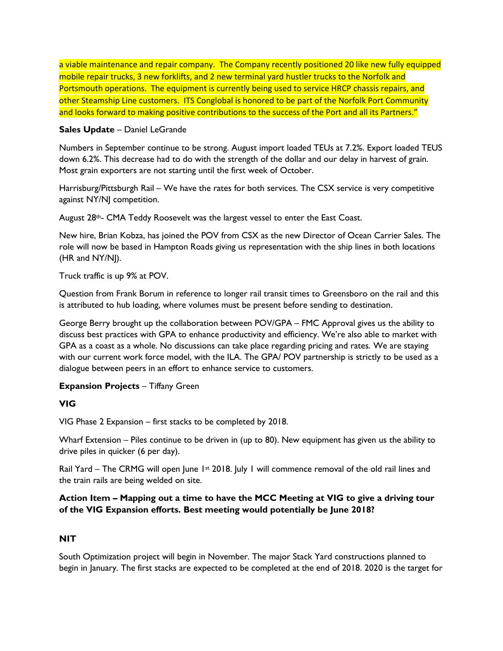a viable maintenance and repair company. The Company recently positioned 20 like new fully equipped mobile repair trucks, 3 new forklifts, and 2 new terminal yard hustler trucks to the Norfolk and Portsmouth operations. The equipment is currently being used to service HRCP chassis repairs, and other Steamship Line customers. ITS Conglobal is honored to be part of the Norfolk Port Community and looks forward to making positive contributions to the success of the Port and all its Partners."

#### **Sales Update** – Daniel LeGrande

Numbers in September continue to be strong. August import loaded TEUs at 7.2%. Export loaded TEUS down 6.2%. This decrease had to do with the strength of the dollar and our delay in harvest of grain. Most grain exporters are not starting until the first week of October.

Harrisburg/Pittsburgh Rail – We have the rates for both services. The CSX service is very competitive against NY/NJ competition.

August 28<sup>th</sup>- CMA Teddy Roosevelt was the largest vessel to enter the East Coast.

New hire, Brian Kobza, has joined the POV from CSX as the new Director of Ocean Carrier Sales. The role will now be based in Hampton Roads giving us representation with the ship lines in both locations (HR and NY/NJ).

Truck traffic is up 9% at POV.

Question from Frank Borum in reference to longer rail transit times to Greensboro on the rail and this is attributed to hub loading, where volumes must be present before sending to destination.

George Berry brought up the collaboration between POV/GPA – FMC Approval gives us the ability to discuss best practices with GPA to enhance productivity and efficiency. We're also able to market with GPA as a coast as a whole. No discussions can take place regarding pricing and rates. We are staying with our current work force model, with the ILA. The GPA/ POV partnership is strictly to be used as a dialogue between peers in an effort to enhance service to customers.

## **Expansion Projects** – Tiffany Green

## **VIG**

VIG Phase 2 Expansion – first stacks to be completed by 2018.

Wharf Extension – Piles continue to be driven in (up to 80). New equipment has given us the ability to drive piles in quicker (6 per day).

Rail Yard – The CRMG will open June 1<sup>st</sup> 2018. July 1 will commence removal of the old rail lines and the train rails are being welded on site.

## **Action Item – Mapping out a time to have the MCC Meeting at VIG to give a driving tour of the VIG Expansion efforts. Best meeting would potentially be June 2018?**

## **NIT**

South Optimization project will begin in November. The major Stack Yard constructions planned to begin in January. The first stacks are expected to be completed at the end of 2018. 2020 is the target for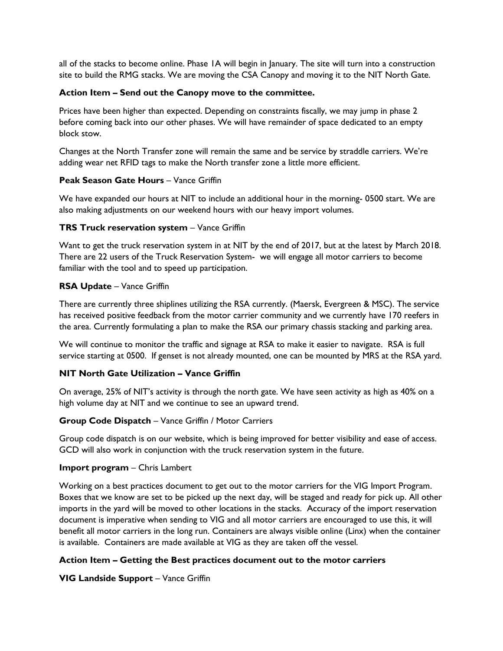all of the stacks to become online. Phase 1A will begin in January. The site will turn into a construction site to build the RMG stacks. We are moving the CSA Canopy and moving it to the NIT North Gate.

#### **Action Item – Send out the Canopy move to the committee.**

Prices have been higher than expected. Depending on constraints fiscally, we may jump in phase 2 before coming back into our other phases. We will have remainder of space dedicated to an empty block stow.

Changes at the North Transfer zone will remain the same and be service by straddle carriers. We're adding wear net RFID tags to make the North transfer zone a little more efficient.

#### **Peak Season Gate Hours** – Vance Griffin

We have expanded our hours at NIT to include an additional hour in the morning- 0500 start. We are also making adjustments on our weekend hours with our heavy import volumes.

#### **TRS Truck reservation system** – Vance Griffin

Want to get the truck reservation system in at NIT by the end of 2017, but at the latest by March 2018. There are 22 users of the Truck Reservation System- we will engage all motor carriers to become familiar with the tool and to speed up participation.

#### **RSA Update** – Vance Griffin

There are currently three shiplines utilizing the RSA currently. (Maersk, Evergreen & MSC). The service has received positive feedback from the motor carrier community and we currently have 170 reefers in the area. Currently formulating a plan to make the RSA our primary chassis stacking and parking area.

We will continue to monitor the traffic and signage at RSA to make it easier to navigate. RSA is full service starting at 0500. If genset is not already mounted, one can be mounted by MRS at the RSA yard.

## **NIT North Gate Utilization – Vance Griffin**

On average, 25% of NIT's activity is through the north gate. We have seen activity as high as 40% on a high volume day at NIT and we continue to see an upward trend.

#### **Group Code Dispatch** – Vance Griffin / Motor Carriers

Group code dispatch is on our website, which is being improved for better visibility and ease of access. GCD will also work in conjunction with the truck reservation system in the future.

#### **Import program** – Chris Lambert

Working on a best practices document to get out to the motor carriers for the VIG Import Program. Boxes that we know are set to be picked up the next day, will be staged and ready for pick up. All other imports in the yard will be moved to other locations in the stacks. Accuracy of the import reservation document is imperative when sending to VIG and all motor carriers are encouraged to use this, it will benefit all motor carriers in the long run. Containers are always visible online (Linx) when the container is available. Containers are made available at VIG as they are taken off the vessel.

## **Action Item – Getting the Best practices document out to the motor carriers**

**VIG Landside Support** – Vance Griffin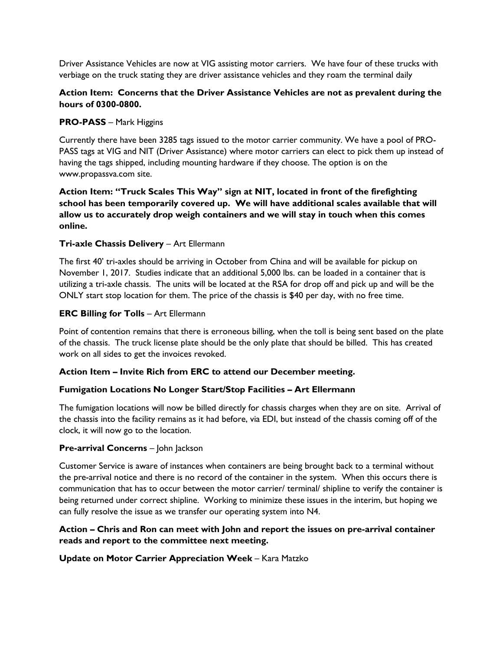Driver Assistance Vehicles are now at VIG assisting motor carriers. We have four of these trucks with verbiage on the truck stating they are driver assistance vehicles and they roam the terminal daily

# **Action Item: Concerns that the Driver Assistance Vehicles are not as prevalent during the hours of 0300-0800.**

## **PRO-PASS** – Mark Higgins

Currently there have been 3285 tags issued to the motor carrier community. We have a pool of PRO-PASS tags at VIG and NIT (Driver Assistance) where motor carriers can elect to pick them up instead of having the tags shipped, including mounting hardware if they choose. The option is on the www.propassva.com site.

# **Action Item: "Truck Scales This Way" sign at NIT, located in front of the firefighting school has been temporarily covered up. We will have additional scales available that will allow us to accurately drop weigh containers and we will stay in touch when this comes online.**

# **Tri-axle Chassis Delivery** – Art Ellermann

The first 40' tri-axles should be arriving in October from China and will be available for pickup on November 1, 2017. Studies indicate that an additional 5,000 lbs. can be loaded in a container that is utilizing a tri-axle chassis. The units will be located at the RSA for drop off and pick up and will be the ONLY start stop location for them. The price of the chassis is \$40 per day, with no free time.

## **ERC Billing for Tolls** – Art Ellermann

Point of contention remains that there is erroneous billing, when the toll is being sent based on the plate of the chassis. The truck license plate should be the only plate that should be billed. This has created work on all sides to get the invoices revoked.

## **Action Item – Invite Rich from ERC to attend our December meeting.**

## **Fumigation Locations No Longer Start/Stop Facilities – Art Ellermann**

The fumigation locations will now be billed directly for chassis charges when they are on site. Arrival of the chassis into the facility remains as it had before, via EDI, but instead of the chassis coming off of the clock, it will now go to the location.

#### **Pre-arrival Concerns** – John Jackson

Customer Service is aware of instances when containers are being brought back to a terminal without the pre-arrival notice and there is no record of the container in the system. When this occurs there is communication that has to occur between the motor carrier/ terminal/ shipline to verify the container is being returned under correct shipline. Working to minimize these issues in the interim, but hoping we can fully resolve the issue as we transfer our operating system into N4.

## **Action – Chris and Ron can meet with John and report the issues on pre-arrival container reads and report to the committee next meeting.**

## **Update on Motor Carrier Appreciation Week** – Kara Matzko